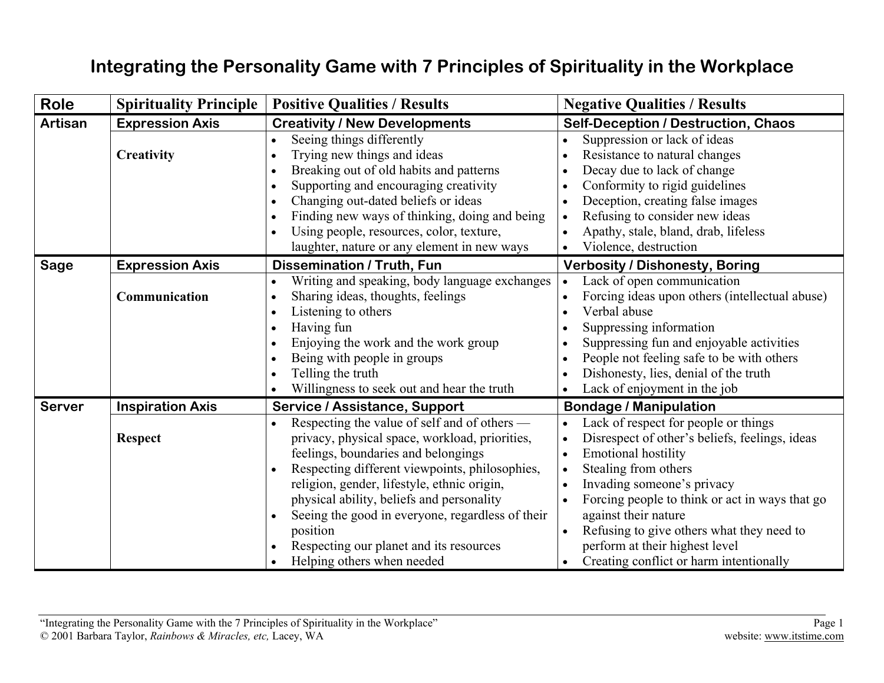## **Integrating the Personality Game with 7 Principles of Spirituality in the Workplace**

| <b>Role</b>   | <b>Spirituality Principle</b> | <b>Positive Qualities / Results</b>              | <b>Negative Qualities / Results</b>            |
|---------------|-------------------------------|--------------------------------------------------|------------------------------------------------|
| Artisan       | <b>Expression Axis</b>        | <b>Creativity / New Developments</b>             | <b>Self-Deception / Destruction, Chaos</b>     |
|               |                               | Seeing things differently                        | Suppression or lack of ideas                   |
|               | Creativity                    | Trying new things and ideas                      | Resistance to natural changes                  |
|               |                               | Breaking out of old habits and patterns          | Decay due to lack of change                    |
|               |                               | Supporting and encouraging creativity            | Conformity to rigid guidelines                 |
|               |                               | Changing out-dated beliefs or ideas              | Deception, creating false images               |
|               |                               | Finding new ways of thinking, doing and being    | Refusing to consider new ideas                 |
|               |                               | Using people, resources, color, texture,         | Apathy, stale, bland, drab, lifeless           |
|               |                               | laughter, nature or any element in new ways      | Violence, destruction                          |
| <b>Sage</b>   | <b>Expression Axis</b>        | <b>Dissemination / Truth, Fun</b>                | <b>Verbosity / Dishonesty, Boring</b>          |
|               |                               | Writing and speaking, body language exchanges    | Lack of open communication                     |
|               | Communication                 | Sharing ideas, thoughts, feelings                | Forcing ideas upon others (intellectual abuse) |
|               |                               | Listening to others                              | Verbal abuse                                   |
|               |                               | Having fun<br>$\bullet$                          | Suppressing information                        |
|               |                               | Enjoying the work and the work group             | Suppressing fun and enjoyable activities       |
|               |                               | Being with people in groups                      | People not feeling safe to be with others      |
|               |                               | Telling the truth                                | Dishonesty, lies, denial of the truth          |
|               |                               | Willingness to seek out and hear the truth       | Lack of enjoyment in the job                   |
| <b>Server</b> | <b>Inspiration Axis</b>       | Service / Assistance, Support                    | <b>Bondage / Manipulation</b>                  |
|               |                               | Respecting the value of self and of others —     | Lack of respect for people or things           |
|               | <b>Respect</b>                | privacy, physical space, workload, priorities,   | Disrespect of other's beliefs, feelings, ideas |
|               |                               | feelings, boundaries and belongings              | <b>Emotional hostility</b>                     |
|               |                               | Respecting different viewpoints, philosophies,   | Stealing from others                           |
|               |                               | religion, gender, lifestyle, ethnic origin,      | Invading someone's privacy                     |
|               |                               | physical ability, beliefs and personality        | Forcing people to think or act in ways that go |
|               |                               | Seeing the good in everyone, regardless of their | against their nature                           |
|               |                               | position                                         | Refusing to give others what they need to      |
|               |                               | Respecting our planet and its resources          | perform at their highest level                 |
|               |                               | Helping others when needed                       | Creating conflict or harm intentionally        |